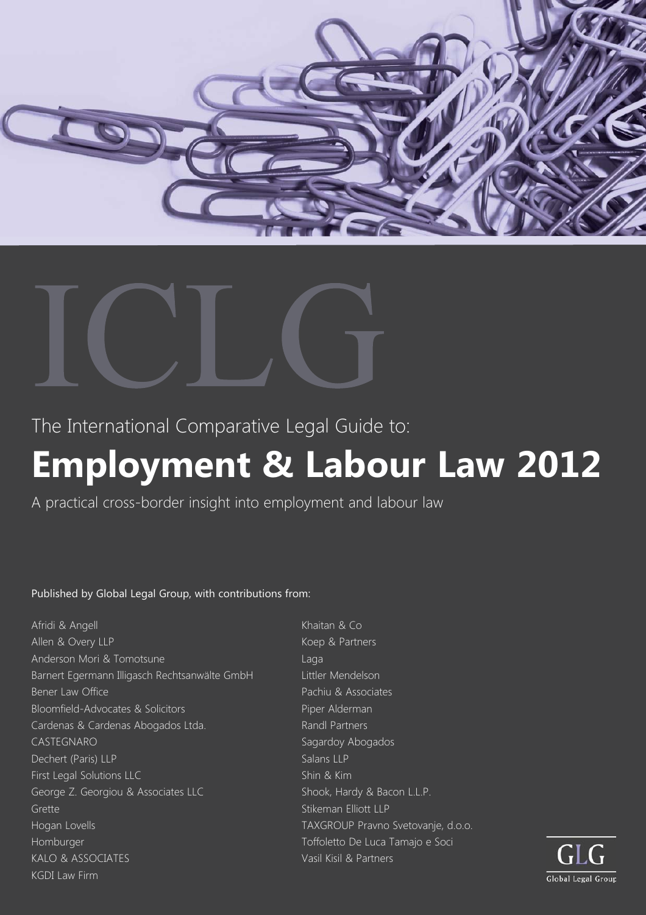



The International Comparative Legal Guide to:

# **Employment & Labour Law 2012**

A practical cross-border insight into employment and labour law

Published by Global Legal Group, with contributions from:

Afridi & Angell Allen & Overy LLP Anderson Mori & Tomotsune Barnert Egermann Illigasch Rechtsanwälte GmbH Bener Law Office Bloomfield-Advocates & Solicitors Cardenas & Cardenas Abogados Ltda. CASTEGNARO Dechert (Paris) LLP First Legal Solutions LLC George Z. Georgiou & Associates LLC Grette Hogan Lovells Homburger KALO & ASSOCIATES KGDI Law Firm

Khaitan & Co Koep & Partners Laga Littler Mendelson Pachiu & Associates Piper Alderman Randl Partners Sagardoy Abogados Salans LLP Shin & Kim Shook, Hardy & Bacon L.L.P. Stikeman Elliott LLP TAXGROUP Pravno Svetovanje, d.o.o. Toffoletto De Luca Tamajo e Soci Vasil Kisil & Partners

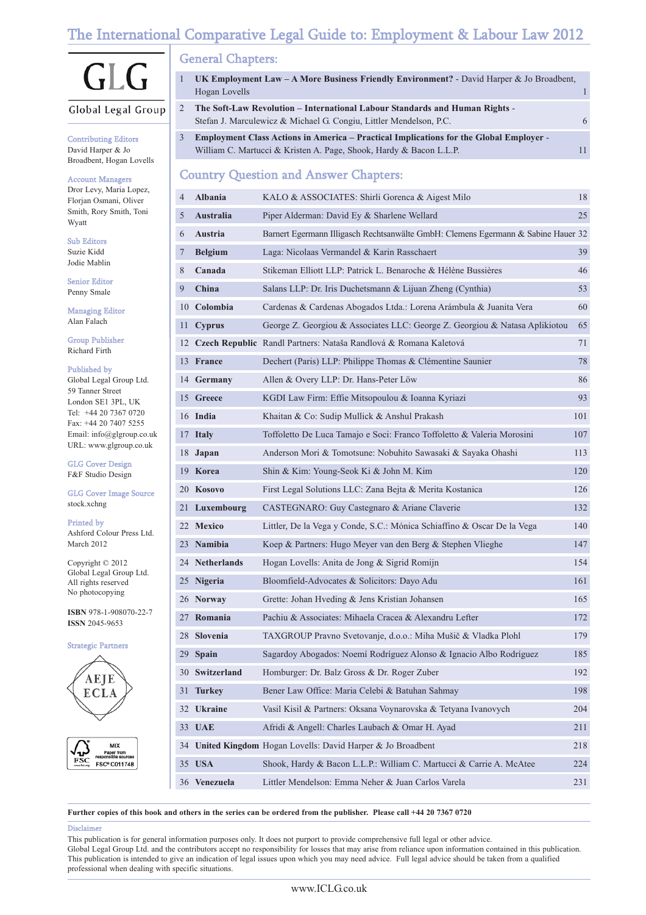# The International Comparative Legal Guide to: Employment & Labour Law 2012

Global Legal Group

Contributing Editors David Harper & Jo Broadbent, Hogan Lovells

#### Account Managers

Dror Levy, Maria Lopez, Florjan Osmani, Oliver Smith, Rory Smith, Toni Wyatt

Sub Editors Suzie Kidd Jodie Mablin

Senior Editor Penny Smale

Managing Editor Alan Falach

Group Publisher Richard Firth

## Published by

Global Legal Group Ltd. 59 Tanner Street London SE1 3PL, UK Tel: +44 20 7367 0720 Fax: +44 20 7407 5255 Email: info@glgroup.co.uk URL: www.glgroup.co.uk

GLG Cover Design F&F Studio Design

GLG Cover Image Source stock.xchng

#### Printed by

Ashford Colour Press Ltd. March 2012

Copyright © 2012 Global Legal Group Ltd. All rights reserved No photocopying

**ISBN** 978-1-908070-22-7 **ISSN** 2045-9653





$$
\boxed{\bigvee_{\text{TPSC}} \underbrace{\hspace{-.3cm}\text{MAX}}_{\text{paper from}\\ \text{FSC}} \underbrace{\hspace{-.3cm}\text{MAX}}_{\text{pagnation}} \text{PSC}^{\text{PQD}}_{\text{C011748}}}
$$

## General Chapters:

| UK Employment Law $-A$ More Business Friendly Environment? - David Harper & Jo Broadbent,     |   |  |
|-----------------------------------------------------------------------------------------------|---|--|
| Hogan Lovells                                                                                 |   |  |
| The Soft-Law Revolution – International Labour Standards and Human Rights -                   |   |  |
| Stefan J. Marculewicz & Michael G. Congiu, Littler Mendelson, P.C.                            | 6 |  |
| <b>Employment Class Actions in America – Practical Implications for the Global Employer -</b> |   |  |
| William C. Martucci & Kristen A. Page, Shook, Hardy & Bacon L.L.P.                            |   |  |

## Country Question and Answer Chapters:

| 4  | <b>Albania</b> | KALO & ASSOCIATES: Shirli Gorenca & Aigest Milo                                   | 18  |
|----|----------------|-----------------------------------------------------------------------------------|-----|
| 5  | Australia      | Piper Alderman: David Ey & Sharlene Wellard                                       | 25  |
| 6  | <b>Austria</b> | Barnert Egermann Illigasch Rechtsanwälte GmbH: Clemens Egermann & Sabine Hauer 32 |     |
| 7  | <b>Belgium</b> | Laga: Nicolaas Vermandel & Karin Rasschaert                                       | 39  |
| 8  | Canada         | Stikeman Elliott LLP: Patrick L. Benaroche & Hélène Bussières                     | 46  |
| 9  | China          | Salans LLP: Dr. Iris Duchetsmann & Lijuan Zheng (Cynthia)                         | 53  |
| 10 | Colombia       | Cardenas & Cardenas Abogados Ltda.: Lorena Arámbula & Juanita Vera                | 60  |
| 11 | <b>Cyprus</b>  | George Z. Georgiou & Associates LLC: George Z. Georgiou & Natasa Aplikiotou       | 65  |
|    |                | 12 Czech Republic Randl Partners: Nataša Randlová & Romana Kaletová               | 71  |
|    | 13 France      | Dechert (Paris) LLP: Philippe Thomas & Clémentine Saunier                         | 78  |
|    | 14 Germany     | Allen & Overy LLP: Dr. Hans-Peter Löw                                             | 86  |
|    | 15 Greece      | KGDI Law Firm: Effie Mitsopoulou & Ioanna Kyriazi                                 | 93  |
|    | 16 India       | Khaitan & Co: Sudip Mullick & Anshul Prakash                                      | 101 |
|    | 17 Italy       | Toffoletto De Luca Tamajo e Soci: Franco Toffoletto & Valeria Morosini            | 107 |
|    | 18 Japan       | Anderson Mori & Tomotsune: Nobuhito Sawasaki & Sayaka Ohashi                      | 113 |
|    | 19 Korea       | Shin & Kim: Young-Seok Ki & John M. Kim                                           | 120 |
|    | 20 Kosovo      | First Legal Solutions LLC: Zana Bejta & Merita Kostanica                          | 126 |
|    | 21 Luxembourg  | CASTEGNARO: Guy Castegnaro & Ariane Claverie                                      | 132 |
|    | 22 Mexico      | Littler, De la Vega y Conde, S.C.: Mónica Schiaffino & Oscar De la Vega           | 140 |
|    | 23 Namibia     | Koep & Partners: Hugo Meyer van den Berg & Stephen Vlieghe                        | 147 |
|    | 24 Netherlands | Hogan Lovells: Anita de Jong & Sigrid Romijn                                      | 154 |
|    | 25 Nigeria     | Bloomfield-Advocates & Solicitors: Dayo Adu                                       | 161 |
|    | 26 Norway      | Grette: Johan Hveding & Jens Kristian Johansen                                    | 165 |
|    | 27 Romania     | Pachiu & Associates: Mihaela Cracea & Alexandru Lefter                            | 172 |
|    | 28 Slovenia    | TAXGROUP Pravno Svetovanje, d.o.o.: Miha Mušič & Vladka Plohl                     | 179 |
|    | 29 Spain       | Sagardoy Abogados: Noemí Rodríguez Alonso & Ignacio Albo Rodríguez                | 185 |
|    | 30 Switzerland | Homburger: Dr. Balz Gross & Dr. Roger Zuber                                       | 192 |
|    | 31 Turkey      | Bener Law Office: Maria Celebi & Batuhan Sahmay                                   | 198 |
|    | 32 Ukraine     | Vasil Kisil & Partners: Oksana Voynarovska & Tetyana Ivanovych                    | 204 |
|    | 33 UAE         | Afridi & Angell: Charles Laubach & Omar H. Ayad                                   | 211 |
|    |                | 34 United Kingdom Hogan Lovells: David Harper & Jo Broadbent                      | 218 |
|    | 35 USA         | Shook, Hardy & Bacon L.L.P.: William C. Martucci & Carrie A. McAtee               | 224 |
|    | 36 Venezuela   | Littler Mendelson: Emma Neher & Juan Carlos Varela                                | 231 |

**Further copies of this book and others in the series can be ordered from the publisher. Please call +44 20 7367 0720**

## Disclaimer

This publication is for general information purposes only. It does not purport to provide comprehensive full legal or other advice.

Global Legal Group Ltd. and the contributors accept no responsibility for losses that may arise from reliance upon information contained in this publication. This publication is intended to give an indication of legal issues upon which you may need advice. Full legal advice should be taken from a qualified professional when dealing with specific situations.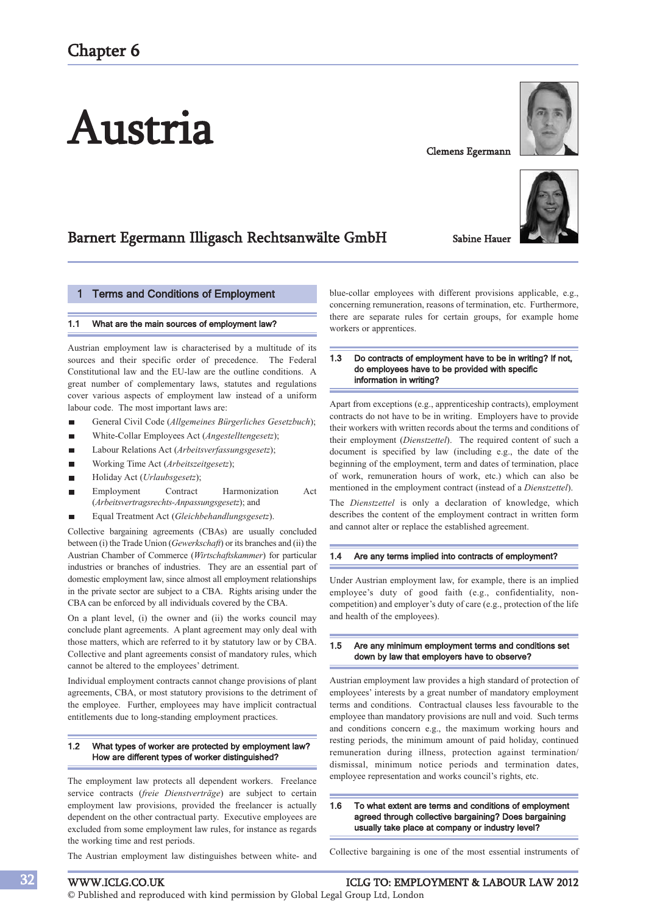# Austria



Clemens Egermann

Sabine Hauer



# Barnert Egermann Illigasch Rechtsanwälte GmbH

## **Terms and Conditions of Employment**

## 1.1 What are the main sources of employment law?

Austrian employment law is characterised by a multitude of its sources and their specific order of precedence. The Federal Constitutional law and the EU-law are the outline conditions. A great number of complementary laws, statutes and regulations cover various aspects of employment law instead of a uniform labour code. The most important laws are:

- General Civil Code (*Allgemeines Bürgerliches Gesetzbuch*); п
- Ē White-Collar Employees Act (*Angestelltengesetz*);
- $\blacksquare$ Labour Relations Act (*Arbeitsverfassungsgesetz*);
- Working Time Act (*Arbeitszeitgesetz*);
- Holiday Act (*Urlaubsgesetz*);
- Employment Contract Harmonization Act (*Arbeitsvertragsrechts-Anpassungsgesetz*); and
- Equal Treatment Act (*Gleichbehandlungsgesetz*).

Collective bargaining agreements (CBAs) are usually concluded between (i) the Trade Union (*Gewerkschaft*) or its branches and (ii) the Austrian Chamber of Commerce (*Wirtschaftskammer*) for particular industries or branches of industries. They are an essential part of domestic employment law, since almost all employment relationships in the private sector are subject to a CBA. Rights arising under the CBA can be enforced by all individuals covered by the CBA.

On a plant level, (i) the owner and (ii) the works council may conclude plant agreements. A plant agreement may only deal with those matters, which are referred to it by statutory law or by CBA. Collective and plant agreements consist of mandatory rules, which cannot be altered to the employees' detriment.

Individual employment contracts cannot change provisions of plant agreements, CBA, or most statutory provisions to the detriment of the employee. Further, employees may have implicit contractual entitlements due to long-standing employment practices.

## 1.2 What types of worker are protected by employment law? How are different types of worker distinguished?

The employment law protects all dependent workers. Freelance service contracts (*freie Dienstverträge*) are subject to certain employment law provisions, provided the freelancer is actually dependent on the other contractual party. Executive employees are excluded from some employment law rules, for instance as regards the working time and rest periods.

The Austrian employment law distinguishes between white- and

blue-collar employees with different provisions applicable, e.g., concerning remuneration, reasons of termination, etc. Furthermore, there are separate rules for certain groups, for example home workers or apprentices.

#### 1.3 Do contracts of employment have to be in writing? If not, do employees have to be provided with specific information in writing?

Apart from exceptions (e.g., apprenticeship contracts), employment contracts do not have to be in writing. Employers have to provide their workers with written records about the terms and conditions of their employment (*Dienstzettel*). The required content of such a document is specified by law (including e.g., the date of the beginning of the employment, term and dates of termination, place of work, remuneration hours of work, etc.) which can also be mentioned in the employment contract (instead of a *Dienstzettel*).

The *Dienstzettel* is only a declaration of knowledge, which describes the content of the employment contract in written form and cannot alter or replace the established agreement.

## 1.4 Are any terms implied into contracts of employment?

Under Austrian employment law, for example, there is an implied employee's duty of good faith (e.g., confidentiality, noncompetition) and employer's duty of care (e.g., protection of the life and health of the employees).

## 1.5 Are any minimum employment terms and conditions set down by law that employers have to observe?

Austrian employment law provides a high standard of protection of employees' interests by a great number of mandatory employment terms and conditions. Contractual clauses less favourable to the employee than mandatory provisions are null and void. Such terms and conditions concern e.g., the maximum working hours and resting periods, the minimum amount of paid holiday, continued remuneration during illness, protection against termination/ dismissal, minimum notice periods and termination dates, employee representation and works council's rights, etc.

1.6 To what extent are terms and conditions of employment agreed through collective bargaining? Does bargaining usually take place at company or industry level?

Collective bargaining is one of the most essential instruments of

WWW.ICLG.CO.UK ICLG TO: EMPLOYMENT & LABOUR LAW 2012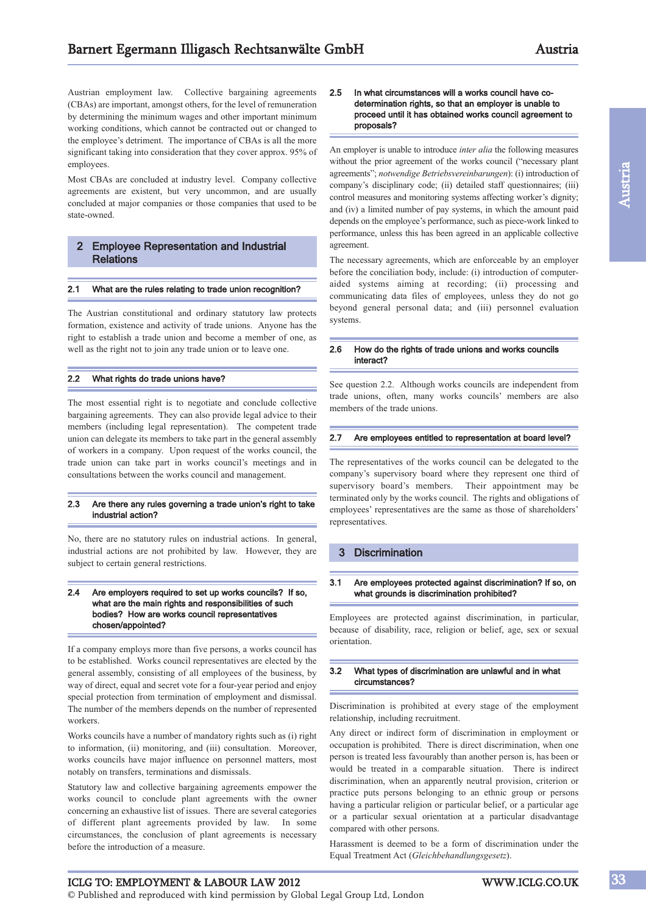Austrian employment law. Collective bargaining agreements (CBAs) are important, amongst others, for the level of remuneration by determining the minimum wages and other important minimum working conditions, which cannot be contracted out or changed to the employee's detriment. The importance of CBAs is all the more significant taking into consideration that they cover approx. 95% of employees.

Most CBAs are concluded at industry level. Company collective agreements are existent, but very uncommon, and are usually concluded at major companies or those companies that used to be state-owned.

## 2 Employee Representation and Industrial **Relations**

### 2.1 What are the rules relating to trade union recognition?

The Austrian constitutional and ordinary statutory law protects formation, existence and activity of trade unions. Anyone has the right to establish a trade union and become a member of one, as well as the right not to join any trade union or to leave one.

## 2.2 What rights do trade unions have?

The most essential right is to negotiate and conclude collective bargaining agreements. They can also provide legal advice to their members (including legal representation). The competent trade union can delegate its members to take part in the general assembly of workers in a company. Upon request of the works council, the trade union can take part in works council's meetings and in consultations between the works council and management.

## 2.3 Are there any rules governing a trade union's right to take industrial action?

No, there are no statutory rules on industrial actions. In general, industrial actions are not prohibited by law. However, they are subject to certain general restrictions.

## 2.4 Are employers required to set up works councils? If so, what are the main rights and responsibilities of such bodies? How are works council representatives chosen/appointed?

If a company employs more than five persons, a works council has to be established. Works council representatives are elected by the general assembly, consisting of all employees of the business, by way of direct, equal and secret vote for a four-year period and enjoy special protection from termination of employment and dismissal. The number of the members depends on the number of represented workers.

Works councils have a number of mandatory rights such as (i) right to information, (ii) monitoring, and (iii) consultation. Moreover, works councils have major influence on personnel matters, most notably on transfers, terminations and dismissals.

Statutory law and collective bargaining agreements empower the works council to conclude plant agreements with the owner concerning an exhaustive list of issues. There are several categories of different plant agreements provided by law. In some circumstances, the conclusion of plant agreements is necessary before the introduction of a measure.

## 2.5 In what circumstances will a works council have codetermination rights, so that an employer is unable to proceed until it has obtained works council agreement to proposals?

An employer is unable to introduce *inter alia* the following measures without the prior agreement of the works council ("necessary plant agreements"; *notwendige Betriebsvereinbarungen*): (i) introduction of company's disciplinary code; (ii) detailed staff questionnaires; (iii) control measures and monitoring systems affecting worker's dignity; and (iv) a limited number of pay systems, in which the amount paid depends on the employee's performance, such as piece-work linked to performance, unless this has been agreed in an applicable collective agreement.

The necessary agreements, which are enforceable by an employer before the conciliation body, include: (i) introduction of computeraided systems aiming at recording; (ii) processing and communicating data files of employees, unless they do not go beyond general personal data; and (iii) personnel evaluation systems.

## 2.6 How do the rights of trade unions and works councils interact?

See question 2.2. Although works councils are independent from trade unions, often, many works councils' members are also members of the trade unions.

### 2.7 Are employees entitled to representation at board level?

The representatives of the works council can be delegated to the company's supervisory board where they represent one third of supervisory board's members. Their appointment may be terminated only by the works council. The rights and obligations of employees' representatives are the same as those of shareholders' representatives.

## 3 Discrimination

## 3.1 Are employees protected against discrimination? If so, on what grounds is discrimination prohibited?

Employees are protected against discrimination, in particular, because of disability, race, religion or belief, age, sex or sexual orientation.

### 3.2 What types of discrimination are unlawful and in what circumstances?

Discrimination is prohibited at every stage of the employment relationship, including recruitment.

Any direct or indirect form of discrimination in employment or occupation is prohibited. There is direct discrimination, when one person is treated less favourably than another person is, has been or would be treated in a comparable situation. There is indirect discrimination, when an apparently neutral provision, criterion or practice puts persons belonging to an ethnic group or persons having a particular religion or particular belief, or a particular age or a particular sexual orientation at a particular disadvantage compared with other persons.

Harassment is deemed to be a form of discrimination under the Equal Treatment Act (*Gleichbehandlungsgesetz*).

ICLG TO: EMPLOYMENT & LABOUR LAW 2012 WWW.ICLG.CO.UK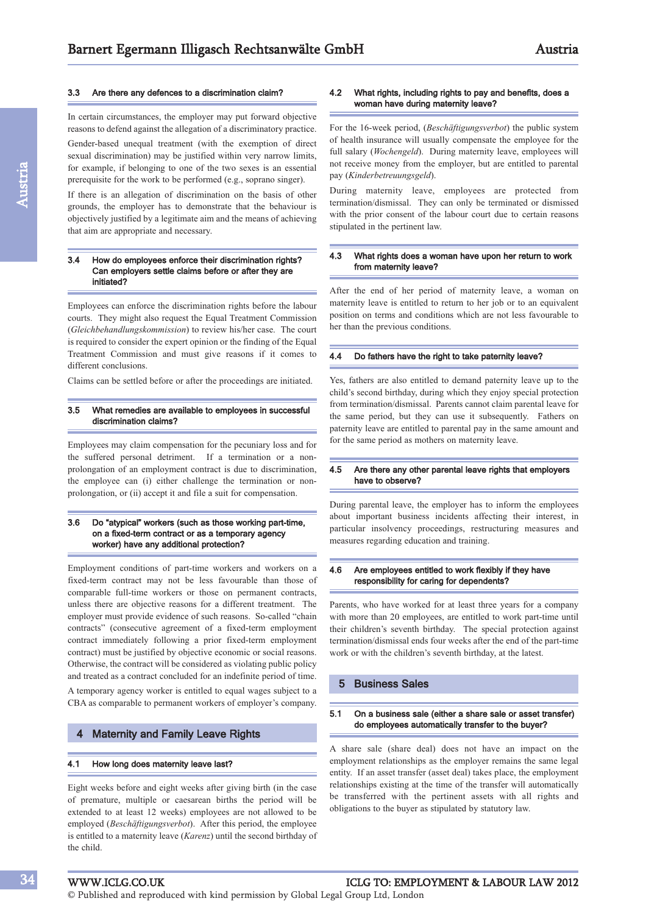## 3.3 Are there any defences to a discrimination claim?

In certain circumstances, the employer may put forward objective reasons to defend against the allegation of a discriminatory practice. Gender-based unequal treatment (with the exemption of direct sexual discrimination) may be justified within very narrow limits, for example, if belonging to one of the two sexes is an essential prerequisite for the work to be performed (e.g., soprano singer).

If there is an allegation of discrimination on the basis of other grounds, the employer has to demonstrate that the behaviour is objectively justified by a legitimate aim and the means of achieving that aim are appropriate and necessary.

## 3.4 How do employees enforce their discrimination rights? Can employers settle claims before or after they are initiated?

Employees can enforce the discrimination rights before the labour courts. They might also request the Equal Treatment Commission (*Gleichbehandlungskommission*) to review his/her case. The court is required to consider the expert opinion or the finding of the Equal Treatment Commission and must give reasons if it comes to different conclusions.

Claims can be settled before or after the proceedings are initiated.

## 3.5 What remedies are available to employees in successful discrimination claims?

Employees may claim compensation for the pecuniary loss and for the suffered personal detriment. If a termination or a nonprolongation of an employment contract is due to discrimination, the employee can (i) either challenge the termination or nonprolongation, or (ii) accept it and file a suit for compensation.

## 3.6 Do "atypical" workers (such as those working part-time, on a fixed-term contract or as a temporary agency worker) have any additional protection?

Employment conditions of part-time workers and workers on a fixed-term contract may not be less favourable than those of comparable full-time workers or those on permanent contracts, unless there are objective reasons for a different treatment. The employer must provide evidence of such reasons. So-called "chain contracts" (consecutive agreement of a fixed-term employment contract immediately following a prior fixed-term employment contract) must be justified by objective economic or social reasons. Otherwise, the contract will be considered as violating public policy and treated as a contract concluded for an indefinite period of time.

A temporary agency worker is entitled to equal wages subject to a CBA as comparable to permanent workers of employer's company.

## 4 Maternity and Family Leave Rights

### 4.1 How long does maternity leave last?

Eight weeks before and eight weeks after giving birth (in the case of premature, multiple or caesarean births the period will be extended to at least 12 weeks) employees are not allowed to be employed (*Beschäftigungsverbot*). After this period, the employee is entitled to a maternity leave (*Karenz*) until the second birthday of the child.

## 4.2 What rights, including rights to pay and benefits, does a woman have during maternity leave?

For the 16-week period, (*Beschäftigungsverbot*) the public system of health insurance will usually compensate the employee for the full salary (*Wochengeld*). During maternity leave, employees will not receive money from the employer, but are entitled to parental pay (*Kinderbetreuungsgeld*).

During maternity leave, employees are protected from termination/dismissal. They can only be terminated or dismissed with the prior consent of the labour court due to certain reasons stipulated in the pertinent law.

## 4.3 What rights does a woman have upon her return to work from maternity leave?

After the end of her period of maternity leave, a woman on maternity leave is entitled to return to her job or to an equivalent position on terms and conditions which are not less favourable to her than the previous conditions.

### 4.4 Do fathers have the right to take paternity leave?

Yes, fathers are also entitled to demand paternity leave up to the child's second birthday, during which they enjoy special protection from termination/dismissal. Parents cannot claim parental leave for the same period, but they can use it subsequently. Fathers on paternity leave are entitled to parental pay in the same amount and for the same period as mothers on maternity leave.

## 4.5 Are there any other parental leave rights that employers have to observe?

During parental leave, the employer has to inform the employees about important business incidents affecting their interest, in particular insolvency proceedings, restructuring measures and measures regarding education and training.

## 4.6 Are employees entitled to work flexibly if they have responsibility for caring for dependents?

Parents, who have worked for at least three years for a company with more than 20 employees, are entitled to work part-time until their children's seventh birthday. The special protection against termination/dismissal ends four weeks after the end of the part-time work or with the children's seventh birthday, at the latest.

## 5 Business Sales

## 5.1 On a business sale (either a share sale or asset transfer) do employees automatically transfer to the buyer?

A share sale (share deal) does not have an impact on the employment relationships as the employer remains the same legal entity. If an asset transfer (asset deal) takes place, the employment relationships existing at the time of the transfer will automatically be transferred with the pertinent assets with all rights and obligations to the buyer as stipulated by statutory law.

34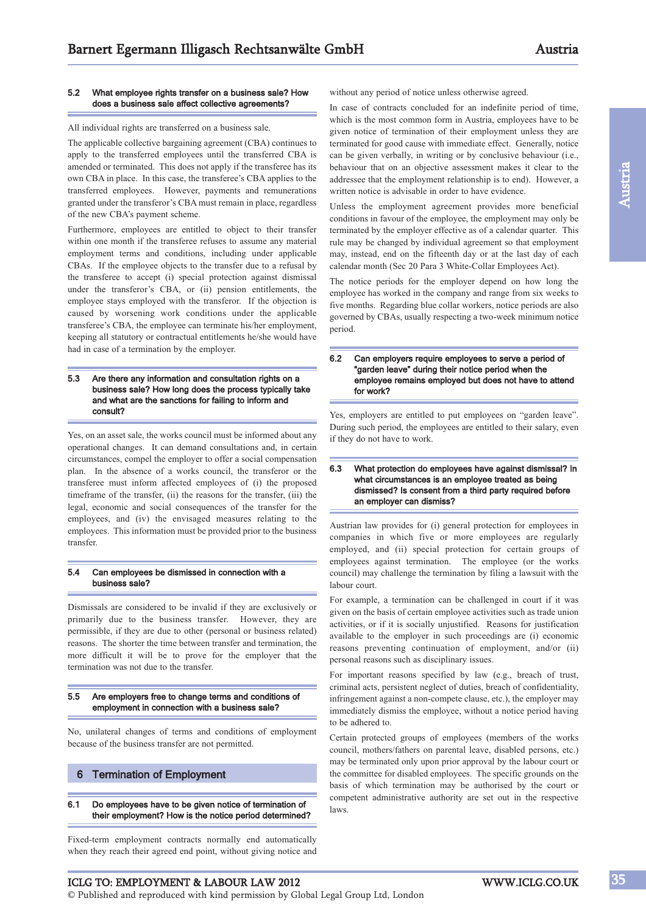## 5.2 What employee rights transfer on a business sale? How does a business sale affect collective agreements?

#### All individual rights are transferred on a business sale.

The applicable collective bargaining agreement (CBA) continues to apply to the transferred employees until the transferred CBA is amended or terminated. This does not apply if the transferee has its own CBA in place. In this case, the transferee's CBA applies to the transferred employees. However, payments and remunerations granted under the transferor's CBA must remain in place, regardless of the new CBA's payment scheme.

Furthermore, employees are entitled to object to their transfer within one month if the transferee refuses to assume any material employment terms and conditions, including under applicable CBAs. If the employee objects to the transfer due to a refusal by the transferee to accept (i) special protection against dismissal under the transferor's CBA, or (ii) pension entitlements, the employee stays employed with the transferor. If the objection is caused by worsening work conditions under the applicable transferee's CBA, the employee can terminate his/her employment, keeping all statutory or contractual entitlements he/she would have had in case of a termination by the employer.

### 5.3 Are there any information and consultation rights on a business sale? How long does the process typically take and what are the sanctions for failing to inform and consult?

Yes, on an asset sale, the works council must be informed about any operational changes. It can demand consultations and, in certain circumstances, compel the employer to offer a social compensation plan. In the absence of a works council, the transferor or the transferee must inform affected employees of (i) the proposed timeframe of the transfer, (ii) the reasons for the transfer, (iii) the legal, economic and social consequences of the transfer for the employees, and (iv) the envisaged measures relating to the employees. This information must be provided prior to the business transfer.

## 5.4 Can employees be dismissed in connection with a business sale?

Dismissals are considered to be invalid if they are exclusively or primarily due to the business transfer. However, they are permissible, if they are due to other (personal or business related) reasons. The shorter the time between transfer and termination, the more difficult it will be to prove for the employer that the termination was not due to the transfer.

## 5.5 Are employers free to change terms and conditions of employment in connection with a business sale?

No, unilateral changes of terms and conditions of employment because of the business transfer are not permitted.

## 6 Termination of Employment

### 6.1 Do employees have to be given notice of termination of their employment? How is the notice period determined?

Fixed-term employment contracts normally end automatically when they reach their agreed end point, without giving notice and without any period of notice unless otherwise agreed.

In case of contracts concluded for an indefinite period of time, which is the most common form in Austria, employees have to be given notice of termination of their employment unless they are terminated for good cause with immediate effect. Generally, notice can be given verbally, in writing or by conclusive behaviour (i.e., behaviour that on an objective assessment makes it clear to the addressee that the employment relationship is to end). However, a written notice is advisable in order to have evidence.

Unless the employment agreement provides more beneficial conditions in favour of the employee, the employment may only be terminated by the employer effective as of a calendar quarter. This rule may be changed by individual agreement so that employment may, instead, end on the fifteenth day or at the last day of each calendar month (Sec 20 Para 3 White-Collar Employees Act).

The notice periods for the employer depend on how long the employee has worked in the company and range from six weeks to five months. Regarding blue collar workers, notice periods are also governed by CBAs, usually respecting a two-week minimum notice period.

## 6.2 Can employers require employees to serve a period of "garden leave" during their notice period when the employee remains employed but does not have to attend for work?

Yes, employers are entitled to put employees on "garden leave". During such period, the employees are entitled to their salary, even if they do not have to work.

## 6.3 What protection do employees have against dismissal? In what circumstances is an employee treated as being dismissed? Is consent from a third party required before an employer can dismiss?

Austrian law provides for (i) general protection for employees in companies in which five or more employees are regularly employed, and (ii) special protection for certain groups of employees against termination. The employee (or the works council) may challenge the termination by filing a lawsuit with the labour court.

For example, a termination can be challenged in court if it was given on the basis of certain employee activities such as trade union activities, or if it is socially unjustified. Reasons for justification available to the employer in such proceedings are (i) economic reasons preventing continuation of employment, and/or (ii) personal reasons such as disciplinary issues.

For important reasons specified by law (e.g., breach of trust, criminal acts, persistent neglect of duties, breach of confidentiality, infringement against a non-compete clause, etc.), the employer may immediately dismiss the employee, without a notice period having to be adhered to.

Certain protected groups of employees (members of the works council, mothers/fathers on parental leave, disabled persons, etc.) may be terminated only upon prior approval by the labour court or the committee for disabled employees. The specific grounds on the basis of which termination may be authorised by the court or competent administrative authority are set out in the respective laws.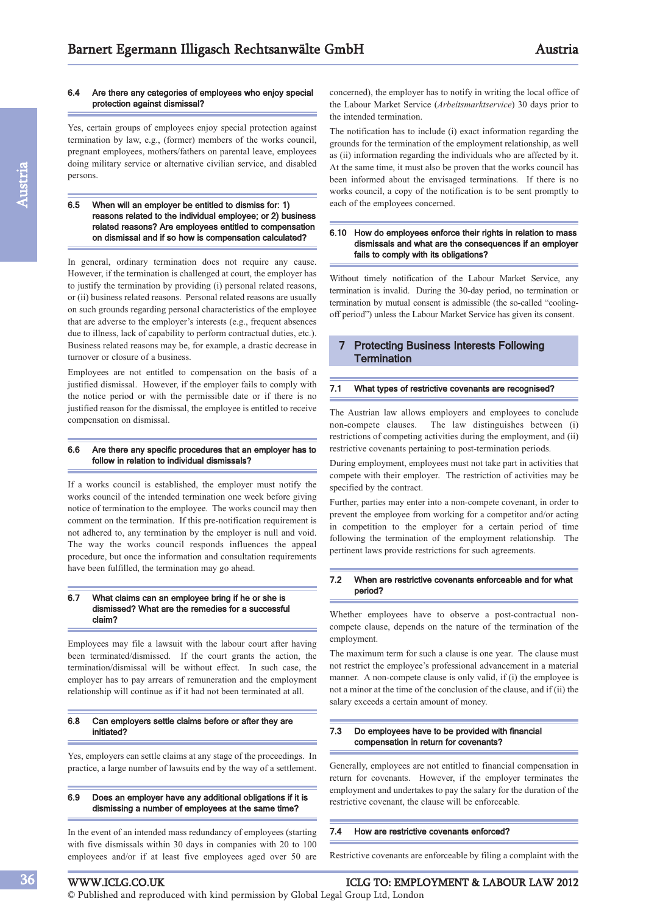## 6.4 Are there any categories of employees who enjoy special protection against dismissal?

Yes, certain groups of employees enjoy special protection against termination by law, e.g., (former) members of the works council, pregnant employees, mothers/fathers on parental leave, employees doing military service or alternative civilian service, and disabled persons.

## 6.5 When will an employer be entitled to dismiss for: 1) reasons related to the individual employee; or 2) business related reasons? Are employees entitled to compensation on dismissal and if so how is compensation calculated?

In general, ordinary termination does not require any cause. However, if the termination is challenged at court, the employer has to justify the termination by providing (i) personal related reasons, or (ii) business related reasons. Personal related reasons are usually on such grounds regarding personal characteristics of the employee that are adverse to the employer's interests (e.g., frequent absences due to illness, lack of capability to perform contractual duties, etc.). Business related reasons may be, for example, a drastic decrease in turnover or closure of a business.

Employees are not entitled to compensation on the basis of a justified dismissal. However, if the employer fails to comply with the notice period or with the permissible date or if there is no justified reason for the dismissal, the employee is entitled to receive compensation on dismissal.

## 6.6 Are there any specific procedures that an employer has to follow in relation to individual dismissals?

If a works council is established, the employer must notify the works council of the intended termination one week before giving notice of termination to the employee. The works council may then comment on the termination. If this pre-notification requirement is not adhered to, any termination by the employer is null and void. The way the works council responds influences the appeal procedure, but once the information and consultation requirements have been fulfilled, the termination may go ahead.

## 6.7 What claims can an employee bring if he or she is dismissed? What are the remedies for a successful claim?

Employees may file a lawsuit with the labour court after having been terminated/dismissed. If the court grants the action, the termination/dismissal will be without effect. In such case, the employer has to pay arrears of remuneration and the employment relationship will continue as if it had not been terminated at all.

## 6.8 Can employers settle claims before or after they are initiated?

Yes, employers can settle claims at any stage of the proceedings. In practice, a large number of lawsuits end by the way of a settlement.

### 6.9 Does an employer have any additional obligations if it is dismissing a number of employees at the same time?

In the event of an intended mass redundancy of employees (starting with five dismissals within 30 days in companies with 20 to 100 employees and/or if at least five employees aged over 50 are

concerned), the employer has to notify in writing the local office of the Labour Market Service (*Arbeitsmarktservice*) 30 days prior to the intended termination.

The notification has to include (i) exact information regarding the grounds for the termination of the employment relationship, as well as (ii) information regarding the individuals who are affected by it. At the same time, it must also be proven that the works council has been informed about the envisaged terminations. If there is no works council, a copy of the notification is to be sent promptly to each of the employees concerned.

## 6.10 How do employees enforce their rights in relation to mass dismissals and what are the consequences if an employer fails to comply with its obligations?

Without timely notification of the Labour Market Service, any termination is invalid. During the 30-day period, no termination or termination by mutual consent is admissible (the so-called "coolingoff period") unless the Labour Market Service has given its consent.

## 7 Protecting Business Interests Following **Termination**

## 7.1 What types of restrictive covenants are recognised?

The Austrian law allows employers and employees to conclude non-compete clauses. The law distinguishes between (i) restrictions of competing activities during the employment, and (ii) restrictive covenants pertaining to post-termination periods.

During employment, employees must not take part in activities that compete with their employer. The restriction of activities may be specified by the contract.

Further, parties may enter into a non-compete covenant, in order to prevent the employee from working for a competitor and/or acting in competition to the employer for a certain period of time following the termination of the employment relationship. The pertinent laws provide restrictions for such agreements.

## 7.2 When are restrictive covenants enforceable and for what period?

Whether employees have to observe a post-contractual noncompete clause, depends on the nature of the termination of the employment.

The maximum term for such a clause is one year. The clause must not restrict the employee's professional advancement in a material manner. A non-compete clause is only valid, if (i) the employee is not a minor at the time of the conclusion of the clause, and if (ii) the salary exceeds a certain amount of money.

## 7.3 Do employees have to be provided with financial compensation in return for covenants?

Generally, employees are not entitled to financial compensation in return for covenants. However, if the employer terminates the employment and undertakes to pay the salary for the duration of the restrictive covenant, the clause will be enforceable.

## 7.4 How are restrictive covenants enforced?

Restrictive covenants are enforceable by filing a complaint with the

36

## WWW.ICLG.CO.UK ICLG TO: EMPLOYMENT & LABOUR LAW 2012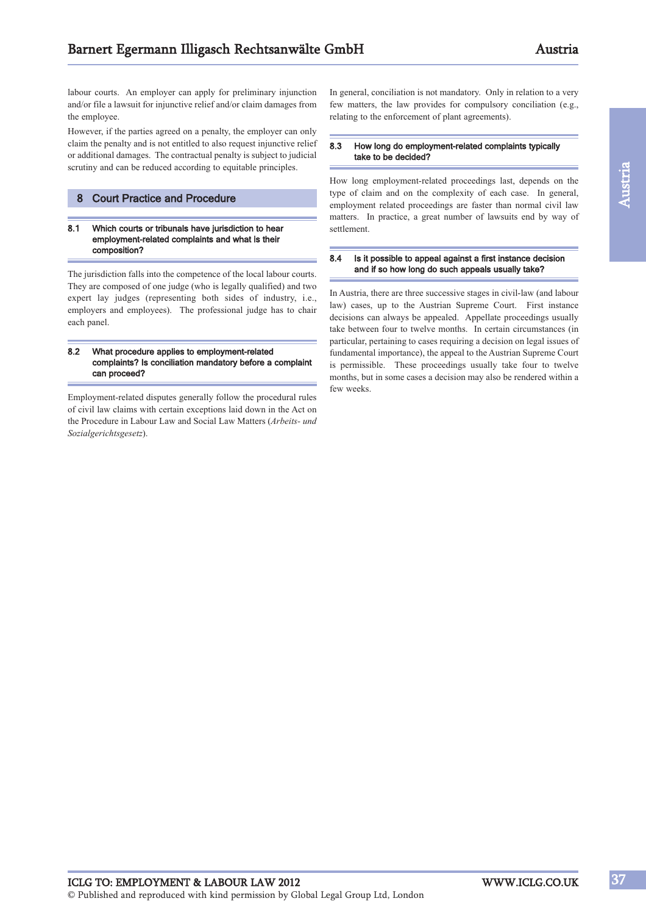labour courts. An employer can apply for preliminary injunction and/or file a lawsuit for injunctive relief and/or claim damages from the employee.

However, if the parties agreed on a penalty, the employer can only claim the penalty and is not entitled to also request injunctive relief or additional damages. The contractual penalty is subject to judicial scrutiny and can be reduced according to equitable principles.

## 8 Court Practice and Procedure

## 8.1 Which courts or tribunals have jurisdiction to hear employment-related complaints and what is their composition?

The jurisdiction falls into the competence of the local labour courts. They are composed of one judge (who is legally qualified) and two expert lay judges (representing both sides of industry, i.e., employers and employees). The professional judge has to chair each panel.

## 8.2 What procedure applies to employment-related complaints? Is conciliation mandatory before a complaint can proceed?

Employment-related disputes generally follow the procedural rules of civil law claims with certain exceptions laid down in the Act on the Procedure in Labour Law and Social Law Matters (*Arbeits- und Sozialgerichtsgesetz*).

In general, conciliation is not mandatory. Only in relation to a very few matters, the law provides for compulsory conciliation (e.g., relating to the enforcement of plant agreements).

## 8.3 How long do employment-related complaints typically take to be decided?

How long employment-related proceedings last, depends on the type of claim and on the complexity of each case. In general, employment related proceedings are faster than normal civil law matters. In practice, a great number of lawsuits end by way of settlement.

## 8.4 Is it possible to appeal against a first instance decision and if so how long do such appeals usually take?

In Austria, there are three successive stages in civil-law (and labour law) cases, up to the Austrian Supreme Court. First instance decisions can always be appealed. Appellate proceedings usually take between four to twelve months. In certain circumstances (in particular, pertaining to cases requiring a decision on legal issues of fundamental importance), the appeal to the Austrian Supreme Court is permissible. These proceedings usually take four to twelve months, but in some cases a decision may also be rendered within a few weeks.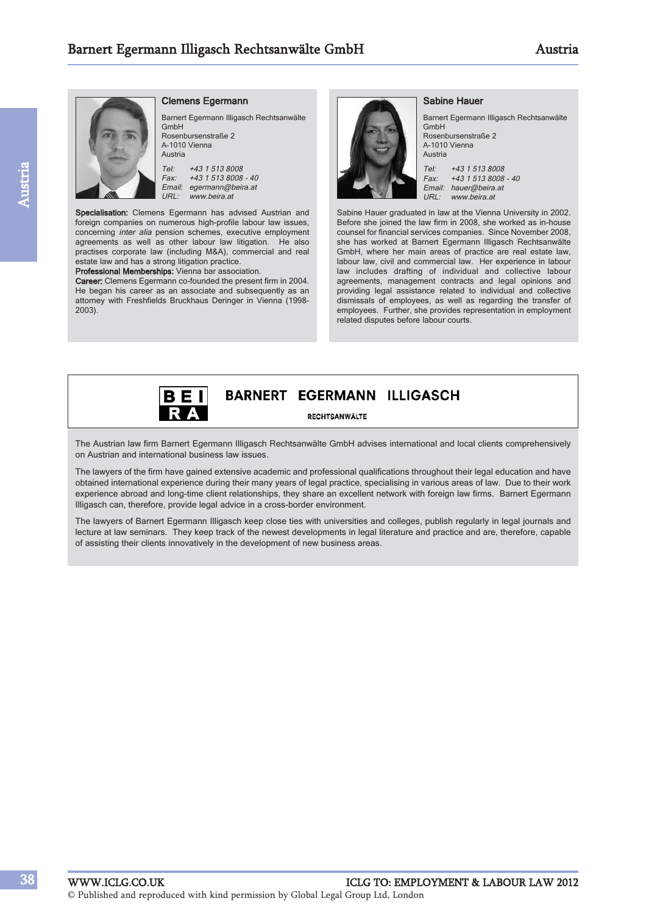## Clemens Egermann

Barnert Egermann Illigasch Rechtsanwälte GmbH Rosenbursenstraße 2 A-1010 Vienna Austria

Tel: +43 1 513 8008 Fax: +43 1 513 8008 - 40 Email: egermann@beira.at URL: www.beira.at

Specialisation: Clemens Egermann has advised Austrian and foreign companies on numerous high-profile labour law issues, concerning inter alia pension schemes, executive employment agreements as well as other labour law litigation. He also practises corporate law (including M&A), commercial and real estate law and has a strong litigation practice.

Professional Memberships: Vienna bar association.

Career: Clemens Egermann co-founded the present firm in 2004. He began his career as an associate and subsequently as an attorney with Freshfields Bruckhaus Deringer in Vienna (1998- 2003).



Sabine Hauer

Barnert Egermann Illigasch Rechtsanwälte GmbH Rosenbursenstraße 2 A-1010 Vienna Austria Tel: +43 1 513 8008 Fax: +43 1 513 8008 - 40 Email: hauer@beira.at URL: www.beira.at

Sabine Hauer graduated in law at the Vienna University in 2002. Before she joined the law firm in 2008, she worked as in-house counsel for financial services companies. Since November 2008, she has worked at Barnert Egermann Illigasch Rechtsanwälte GmbH, where her main areas of practice are real estate law, labour law, civil and commercial law. Her experience in labour law includes drafting of individual and collective labour agreements, management contracts and legal opinions and providing legal assistance related to individual and collective dismissals of employees, as well as regarding the transfer of employees. Further, she provides representation in employment related disputes before labour courts.



## BARNERT EGERMANN ILLIGASCH

## **RECHTSANWÄLTE**

The Austrian law firm Barnert Egermann Illigasch Rechtsanwälte GmbH advises international and local clients comprehensively on Austrian and international business law issues.

The lawyers of the firm have gained extensive academic and professional qualifications throughout their legal education and have obtained international experience during their many years of legal practice, specialising in various areas of law. Due to their work experience abroad and long-time client relationships, they share an excellent network with foreign law firms. Barnert Egermann Illigasch can, therefore, provide legal advice in a cross-border environment.

The lawyers of Barnert Egermann Illigasch keep close ties with universities and colleges, publish regularly in legal journals and lecture at law seminars. They keep track of the newest developments in legal literature and practice and are, therefore, capable of assisting their clients innovatively in the development of new business areas.